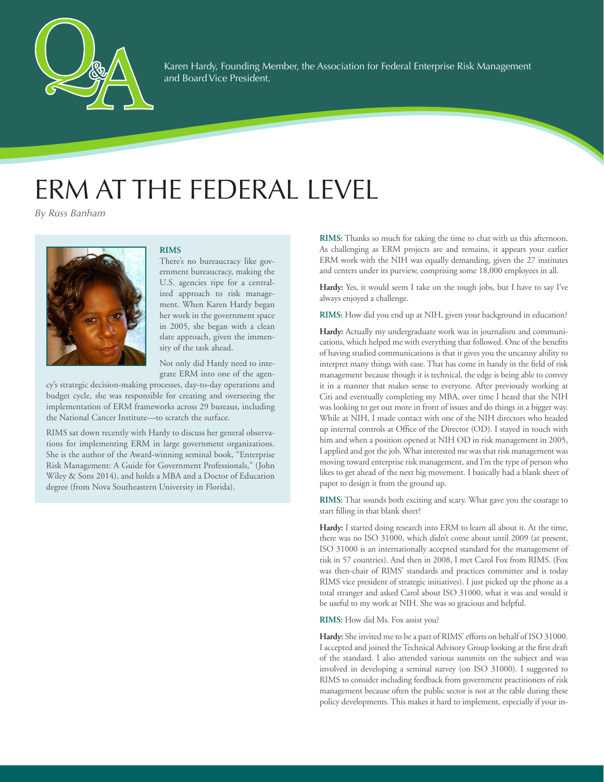

Karen Hardy, Founding Member, the Association for Federal Enterprise Risk Management and Board Vice President.

# ERM AT THE FEDERAL LEVEL

*By Russ Banham*

Pamela G. Rogers

## **RIMS**

There's no bureaucracy like government bureaucracy, making the U.S. agencies ripe for a centralized approach to risk management. When Karen Hardy began her work in the government space in 2005, she began with a clean slate approach, given the immensity of the task ahead.

Not only did Hardy need to integrate ERM into one of the agen-

cy's strategic decision-making processes, day-to-day operations and budget cycle, she was responsible for creating and overseeing the implementation of ERM frameworks across 29 bureaus, including the National Cancer Institute—to scratch the surface.

RIMS sat down recently with Hardy to discuss her general observations for implementing ERM in large government organizations. She is the author of the Award-winning seminal book, "Enterprise Risk Management: A Guide for Government Professionals," (John Wiley & Sons 2014), and holds a MBA and a Doctor of Education degree (from Nova Southeastern University in Florida).

**RIMS:** Thanks so much for taking the time to chat with us this afternoon. As challenging as ERM projects are and remains, it appears your earlier ERM work with the NIH was equally demanding, given the 27 institutes and centers under its purview, comprising some 18,000 employees in all.

**Hardy:** Yes, it would seem I take on the tough jobs, but I have to say I've always enjoyed a challenge.

**RIMS:** How did you end up at NIH, given your background in education?

**Hardy:** Actually my undergraduate work was in journalism and communications, which helped me with everything that followed. One of the benefits of having studied communications is that it gives you the uncanny ability to interpret many things with ease. That has come in handy in the field of risk management because though it is technical, the edge is being able to convey it in a manner that makes sense to everyone. After previously working at Citi and eventually completing my MBA, over time I heard that the NIH was looking to get out more in front of issues and do things in a bigger way. While at NIH, I made contact with one of the NIH directors who headed up internal controls at Office of the Director (OD). I stayed in touch with him and when a position opened at NIH OD in risk management in 2005, I applied and got the job. What interested me was that risk management was moving toward enterprise risk management, and I'm the type of person who likes to get ahead of the next big movement. I basically had a blank sheet of paper to design it from the ground up.

**RIMS:** That sounds both exciting and scary. What gave you the courage to start filling in that blank sheet?

**Hardy:** I started doing research into ERM to learn all about it. At the time, there was no ISO 31000, which didn't come about until 2009 (at present, ISO 31000 is an internationally accepted standard for the management of risk in 57 countries). And then in 2008, I met Carol Fox from RIMS. (Fox was then-chair of RIMS' standards and practices committee and is today RIMS vice president of strategic initiatives). I just picked up the phone as a total stranger and asked Carol about ISO 31000, what it was and would it be useful to my work at NIH. She was so gracious and helpful.

**RIMS:** How did Ms. Fox assist you?

**Hardy:** She invited me to be a part of RIMS' efforts on behalf of ISO 31000. I accepted and joined the Technical Advisory Group looking at the first draft of the standard. I also attended various summits on the subject and was involved in developing a seminal survey (on ISO 31000). I suggested to RIMS to consider including feedback from government practitioners of risk management because often the public sector is not at the table during these policy developments. This makes it hard to implement, especially if your in